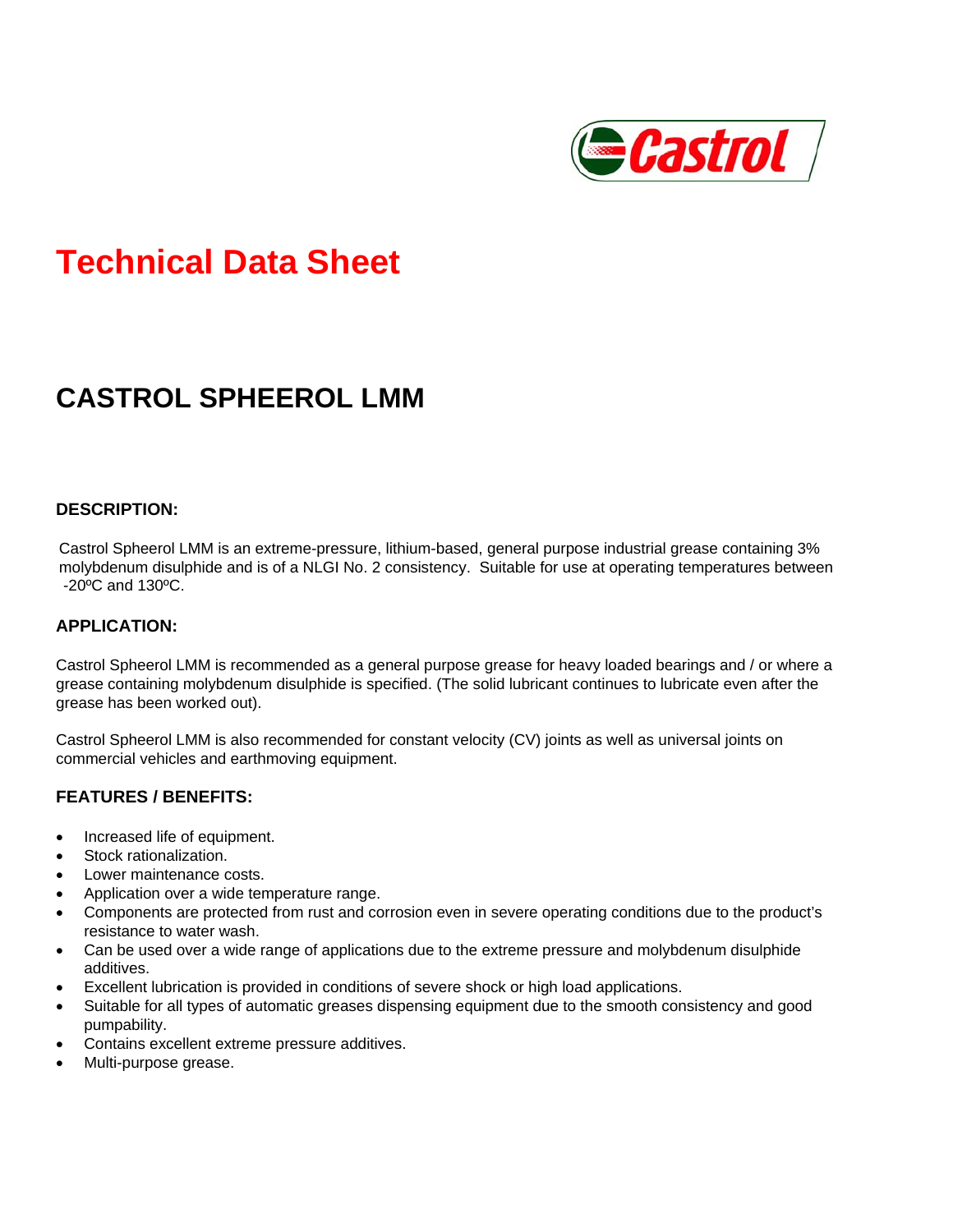

# **Technical Data Sheet**

# **CASTROL SPHEEROL LMM**

#### **DESCRIPTION:**

Castrol Spheerol LMM is an extreme-pressure, lithium-based, general purpose industrial grease containing 3% molybdenum disulphide and is of a NLGI No. 2 consistency. Suitable for use at operating temperatures between -20ºC and 130ºC.

#### **APPLICATION:**

Castrol Spheerol LMM is recommended as a general purpose grease for heavy loaded bearings and / or where a grease containing molybdenum disulphide is specified. (The solid lubricant continues to lubricate even after the grease has been worked out).

Castrol Spheerol LMM is also recommended for constant velocity (CV) joints as well as universal joints on commercial vehicles and earthmoving equipment.

#### **FEATURES / BENEFITS:**

- Increased life of equipment.
- Stock rationalization.
- Lower maintenance costs.
- Application over a wide temperature range.
- Components are protected from rust and corrosion even in severe operating conditions due to the product's resistance to water wash.
- Can be used over a wide range of applications due to the extreme pressure and molybdenum disulphide additives.
- Excellent lubrication is provided in conditions of severe shock or high load applications.
- Suitable for all types of automatic greases dispensing equipment due to the smooth consistency and good pumpability.
- Contains excellent extreme pressure additives.
- Multi-purpose grease.